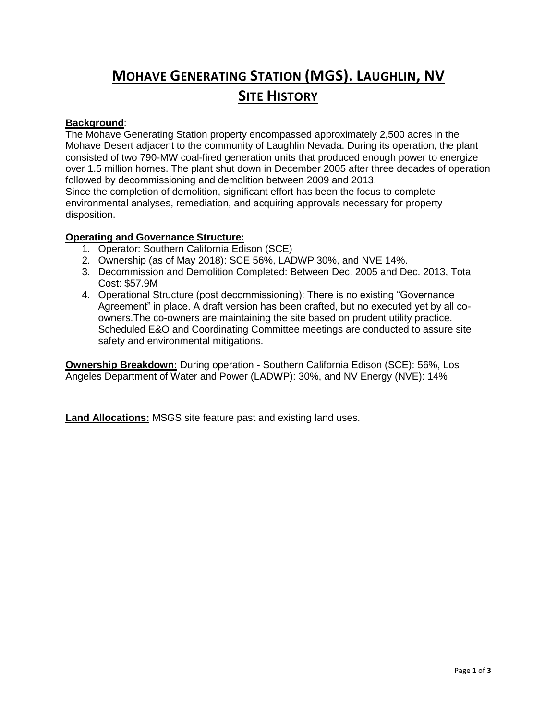## **MOHAVE GENERATING STATION (MGS). LAUGHLIN, NV SITE HISTORY**

## **Background**:

The Mohave Generating Station property encompassed approximately 2,500 acres in the Mohave Desert adjacent to the community of Laughlin Nevada. During its operation, the plant consisted of two 790-MW coal-fired generation units that produced enough power to energize over 1.5 million homes. The plant shut down in December 2005 after three decades of operation followed by decommissioning and demolition between 2009 and 2013. Since the completion of demolition, significant effort has been the focus to complete

environmental analyses, remediation, and acquiring approvals necessary for property disposition.

## **Operating and Governance Structure:**

- 1. Operator: Southern California Edison (SCE)
- 2. Ownership (as of May 2018): SCE 56%, LADWP 30%, and NVE 14%.
- 3. Decommission and Demolition Completed: Between Dec. 2005 and Dec. 2013, Total Cost: \$57.9M
- 4. Operational Structure (post decommissioning): There is no existing "Governance Agreement" in place. A draft version has been crafted, but no executed yet by all coowners.The co-owners are maintaining the site based on prudent utility practice. Scheduled E&O and Coordinating Committee meetings are conducted to assure site safety and environmental mitigations.

**Ownership Breakdown:** During operation - Southern California Edison (SCE): 56%, Los Angeles Department of Water and Power (LADWP): 30%, and NV Energy (NVE): 14%

**Land Allocations:** MSGS site feature past and existing land uses.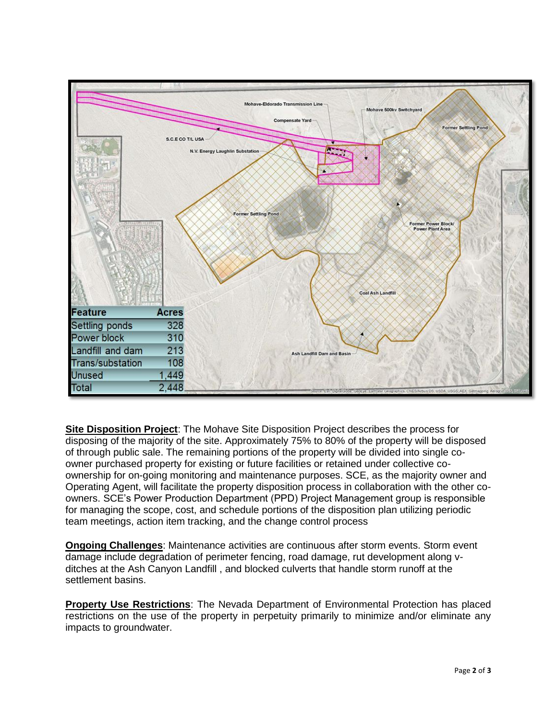

**Site Disposition Project**: The Mohave Site Disposition Project describes the process for disposing of the majority of the site. Approximately 75% to 80% of the property will be disposed of through public sale. The remaining portions of the property will be divided into single coowner purchased property for existing or future facilities or retained under collective coownership for on-going monitoring and maintenance purposes. SCE, as the majority owner and Operating Agent, will facilitate the property disposition process in collaboration with the other coowners. SCE's Power Production Department (PPD) Project Management group is responsible for managing the scope, cost, and schedule portions of the disposition plan utilizing periodic team meetings, action item tracking, and the change control process

**Ongoing Challenges**: Maintenance activities are continuous after storm events. Storm event damage include degradation of perimeter fencing, road damage, rut development along vditches at the Ash Canyon Landfill , and blocked culverts that handle storm runoff at the settlement basins.

**Property Use Restrictions**: The Nevada Department of Environmental Protection has placed restrictions on the use of the property in perpetuity primarily to minimize and/or eliminate any impacts to groundwater.